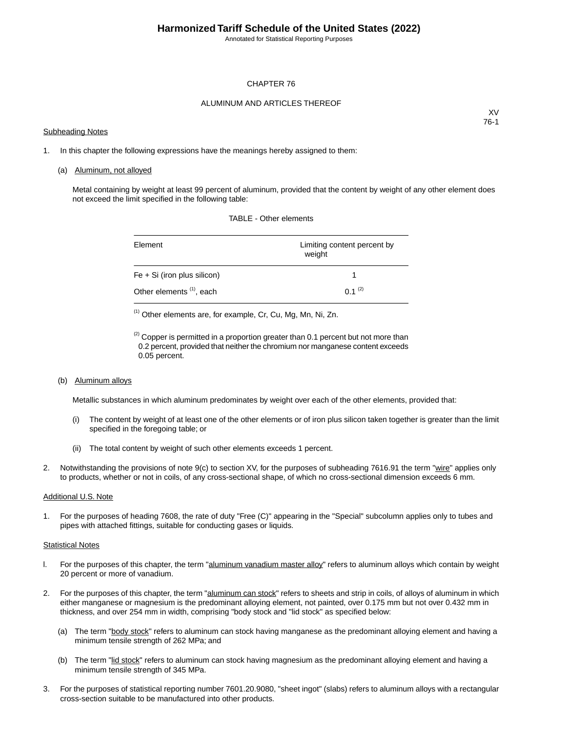Annotated for Statistical Reporting Purposes

#### CHAPTER 76

#### ALUMINUM AND ARTICLES THEREOF

#### Subheading Notes

XV 76-1

1. In this chapter the following expressions have the meanings hereby assigned to them:

#### (a) Aluminum, not alloyed

Metal containing by weight at least 99 percent of aluminum, provided that the content by weight of any other element does not exceed the limit specified in the following table:

| Element                              | Limiting content percent by<br>weight |
|--------------------------------------|---------------------------------------|
| $Fe + Si$ (iron plus silicon)        |                                       |
| Other elements <sup>(1)</sup> , each | $0.1^{(2)}$                           |

TABLE - Other elements

(1) Other elements are, for example, Cr, Cu, Mg, Mn, Ni, Zn.

 $^{(2)}$  Copper is permitted in a proportion greater than 0.1 percent but not more than 0.2 percent, provided that neither the chromium nor manganese content exceeds 0.05 percent.

(b) Aluminum alloys

Metallic substances in which aluminum predominates by weight over each of the other elements, provided that:

- (i) The content by weight of at least one of the other elements or of iron plus silicon taken together is greater than the limit specified in the foregoing table; or
- (ii) The total content by weight of such other elements exceeds 1 percent.
- 2. Notwithstanding the provisions of note 9(c) to section XV, for the purposes of subheading 7616.91 the term "wire" applies only to products, whether or not in coils, of any cross-sectional shape, of which no cross-sectional dimension exceeds 6 mm.

#### Additional U.S. Note

1. For the purposes of heading 7608, the rate of duty "Free (C)" appearing in the "Special" subcolumn applies only to tubes and pipes with attached fittings, suitable for conducting gases or liquids.

#### Statistical Notes

- l. For the purposes of this chapter, the term "aluminum vanadium master alloy" refers to aluminum alloys which contain by weight 20 percent or more of vanadium.
- 2. For the purposes of this chapter, the term "aluminum can stock" refers to sheets and strip in coils, of alloys of aluminum in which either manganese or magnesium is the predominant alloying element, not painted, over 0.175 mm but not over 0.432 mm in thickness, and over 254 mm in width, comprising "body stock and "lid stock" as specified below:
	- (a) The term "body stock" refers to aluminum can stock having manganese as the predominant alloying element and having a minimum tensile strength of 262 MPa; and
	- (b) The term "lid stock" refers to aluminum can stock having magnesium as the predominant alloying element and having a minimum tensile strength of 345 MPa.
- 3. For the purposes of statistical reporting number 7601.20.9080, "sheet ingot" (slabs) refers to aluminum alloys with a rectangular cross-section suitable to be manufactured into other products.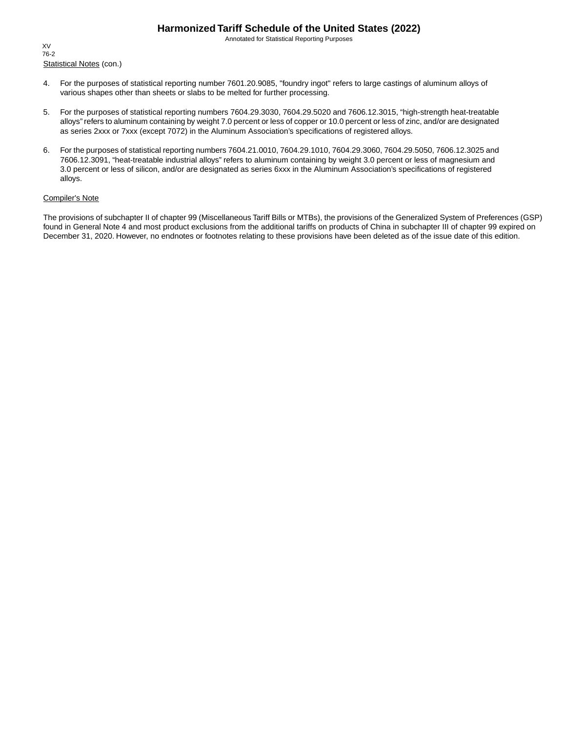Annotated for Statistical Reporting Purposes

Statistical Notes (con.) XV 76-2

- 4. For the purposes of statistical reporting number 7601.20.9085, "foundry ingot" refers to large castings of aluminum alloys of various shapes other than sheets or slabs to be melted for further processing.
- 5. For the purposes of statistical reporting numbers 7604.29.3030, 7604.29.5020 and 7606.12.3015, "high-strength heat-treatable alloys" refers to aluminum containing by weight 7.0 percent or less of copper or 10.0 percent or less of zinc, and/or are designated as series 2xxx or 7xxx (except 7072) in the Aluminum Association's specifications of registered alloys.
- 6. For the purposes of statistical reporting numbers 7604.21.0010, 7604.29.1010, 7604.29.3060, 7604.29.5050, 7606.12.3025 and 7606.12.3091, "heat-treatable industrial alloys" refers to aluminum containing by weight 3.0 percent or less of magnesium and 3.0 percent or less of silicon, and/or are designated as series 6xxx in the Aluminum Association's specifications of registered alloys.

#### Compiler's Note

The provisions of subchapter II of chapter 99 (Miscellaneous Tariff Bills or MTBs), the provisions of the Generalized System of Preferences (GSP) found in General Note 4 and most product exclusions from the additional tariffs on products of China in subchapter III of chapter 99 expired on December 31, 2020. However, no endnotes or footnotes relating to these provisions have been deleted as of the issue date of this edition.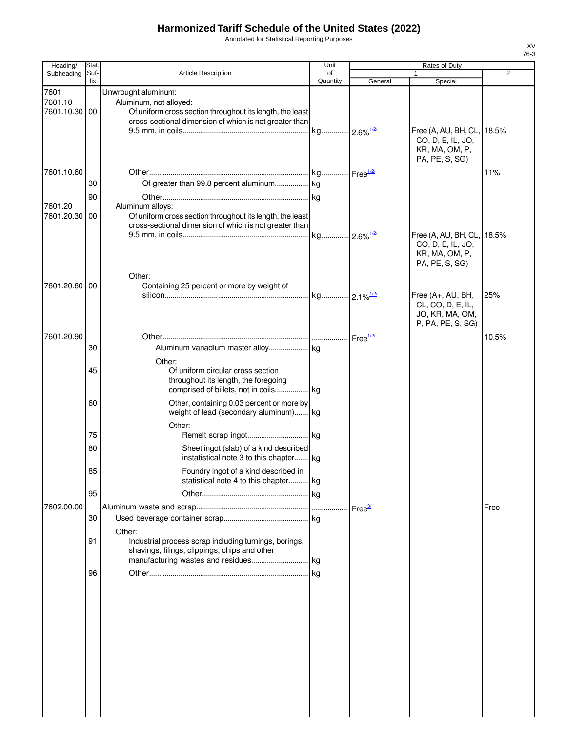Annotated for Statistical Reporting Purposes

| Heading/                               | Stat.       |                                                                                                                                                                                     | Unit                    |                    | Rates of Duty                                                                                                                           |                |
|----------------------------------------|-------------|-------------------------------------------------------------------------------------------------------------------------------------------------------------------------------------|-------------------------|--------------------|-----------------------------------------------------------------------------------------------------------------------------------------|----------------|
| Subheading                             | Suf-<br>fix | Article Description                                                                                                                                                                 | of<br>Quantity          | General            | Special                                                                                                                                 | $\overline{2}$ |
| 7601<br>7601.10<br>7601.10.30 00       |             | Unwrought aluminum:<br>Aluminum, not alloyed:<br>Of uniform cross section throughout its length, the least<br>cross-sectional dimension of which is not greater than                |                         |                    | Free (A, AU, BH, CL, 18.5%<br>CO, D, E, IL, JO,<br>KR, MA, OM, P,                                                                       |                |
| 7601.10.60<br>7601.20<br>7601.20.30 00 | 30<br>90    | Of greater than 99.8 percent aluminum kg<br>Aluminum alloys:<br>Of uniform cross section throughout its length, the least<br>cross-sectional dimension of which is not greater than |                         |                    | PA, PE, S, SG)<br>Free (A, AU, BH, CL, 18.5%                                                                                            | 11%            |
| 7601.20.60 00                          |             | Other:<br>Containing 25 percent or more by weight of                                                                                                                                | kg 2.1% <sup>1/2/</sup> |                    | CO, D, E, IL, JO,<br>KR, MA, OM, P,<br>PA, PE, S, SG)<br>Free (A+, AU, BH,<br>CL, CO, D, E, IL,<br>JO, KR, MA, OM,<br>P, PA, PE, S, SG) | 25%            |
| 7601.20.90                             | 30          |                                                                                                                                                                                     |                         | Free $\frac{1}{2}$ |                                                                                                                                         | 10.5%          |
|                                        | 45          | Other:<br>Of uniform circular cross section<br>throughout its length, the foregoing<br>comprised of billets, not in coils kg                                                        |                         |                    |                                                                                                                                         |                |
|                                        | 60          | Other, containing 0.03 percent or more by<br>weight of lead (secondary aluminum) kg                                                                                                 |                         |                    |                                                                                                                                         |                |
|                                        |             | Other:                                                                                                                                                                              |                         |                    |                                                                                                                                         |                |
|                                        | 75          |                                                                                                                                                                                     |                         |                    |                                                                                                                                         |                |
|                                        | 80          | Sheet ingot (slab) of a kind described<br>instatistical note 3 to this chapter kg                                                                                                   |                         |                    |                                                                                                                                         |                |
|                                        | 85          | Foundry ingot of a kind described in<br>statistical note 4 to this chapter kg                                                                                                       |                         |                    |                                                                                                                                         |                |
|                                        | 95          |                                                                                                                                                                                     |                         |                    |                                                                                                                                         |                |
| 7602.00.00                             |             |                                                                                                                                                                                     |                         | Free $\frac{3}{2}$ |                                                                                                                                         | Free           |
|                                        | 30<br>91    | Other:<br>Industrial process scrap including turnings, borings,<br>shavings, filings, clippings, chips and other                                                                    |                         |                    |                                                                                                                                         |                |
|                                        | 96          |                                                                                                                                                                                     |                         |                    |                                                                                                                                         |                |
|                                        |             |                                                                                                                                                                                     |                         |                    |                                                                                                                                         |                |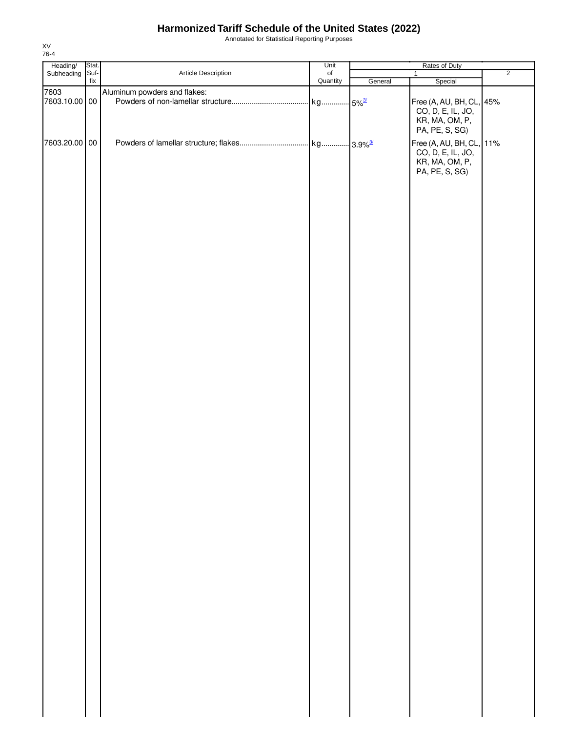Annotated for Statistical Reporting Purposes

| Heading/<br>Subheading | Stat.       |                              | Unit                         | Rates of Duty |                                                                                                     |                |
|------------------------|-------------|------------------------------|------------------------------|---------------|-----------------------------------------------------------------------------------------------------|----------------|
|                        | Suf-<br>fix | Article Description          | $_{\mathsf{of}}$<br>Quantity | General       | $\mathbf{1}$<br>Special                                                                             | $\overline{2}$ |
| 7603                   |             | Aluminum powders and flakes: |                              |               |                                                                                                     |                |
| 7603.10.00 00          |             |                              |                              |               | Free (A, AU, BH, CL, 45%<br>CO, D, E, IL, JO,<br>KR, MA, OM, P,                                     |                |
| 7603.20.00 00          |             |                              |                              |               | PA, PE, S, SG)<br>Free (A, AU, BH, CL, 11%<br>CO, D, E, IL, JO,<br>KR, MA, OM, P,<br>PA, PE, S, SG) |                |
|                        |             |                              |                              |               |                                                                                                     |                |
|                        |             |                              |                              |               |                                                                                                     |                |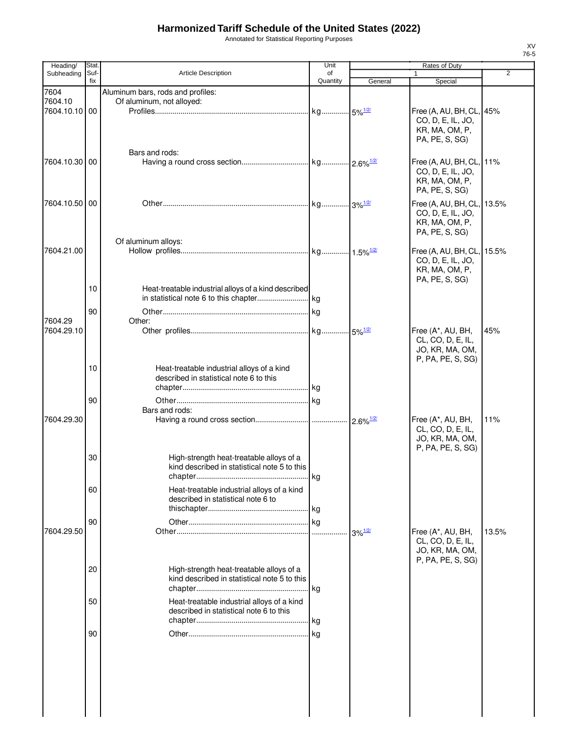Annotated for Statistical Reporting Purposes

| Heading/      | Stat.       |                                                      | Unit           |                                    | Rates of Duty                          |       |
|---------------|-------------|------------------------------------------------------|----------------|------------------------------------|----------------------------------------|-------|
| Subheading    | Suf-<br>fix | Article Description                                  | of<br>Quantity | General                            | $\mathbf{1}$<br>Special                | 2     |
| 7604          |             | Aluminum bars, rods and profiles:                    |                |                                    |                                        |       |
| 7604.10       |             | Of aluminum, not alloyed:                            |                |                                    |                                        |       |
| 7604.10.10 00 |             |                                                      |                |                                    | Free (A, AU, BH, CL, 45%               |       |
|               |             |                                                      |                |                                    | CO, D, E, IL, JO,                      |       |
|               |             |                                                      |                |                                    | KR, MA, OM, P,                         |       |
|               |             |                                                      |                |                                    | PA, PE, S, SG)                         |       |
|               |             | Bars and rods:                                       |                |                                    |                                        |       |
| 7604.10.30 00 |             |                                                      |                |                                    | Free (A, AU, BH, CL, 11%               |       |
|               |             |                                                      |                |                                    | CO, D, E, IL, JO,                      |       |
|               |             |                                                      |                |                                    | KR, MA, OM, P,                         |       |
|               |             |                                                      |                |                                    | PA, PE, S, SG)                         |       |
| 7604.10.50 00 |             |                                                      |                |                                    | Free (A, AU, BH, CL, 13.5%             |       |
|               |             |                                                      |                |                                    | CO, D, E, IL, JO,                      |       |
|               |             |                                                      |                |                                    | KR, MA, OM, P,                         |       |
|               |             |                                                      |                |                                    | PA, PE, S, SG)                         |       |
|               |             | Of aluminum alloys:                                  |                |                                    |                                        |       |
| 7604.21.00    |             |                                                      |                |                                    | Free (A, AU, BH, CL, 15.5%             |       |
|               |             |                                                      |                |                                    | CO, D, E, IL, JO,                      |       |
|               |             |                                                      |                |                                    | KR, MA, OM, P,                         |       |
|               | 10          | Heat-treatable industrial alloys of a kind described |                |                                    | PA, PE, S, SG)                         |       |
|               |             |                                                      |                |                                    |                                        |       |
|               |             |                                                      |                |                                    |                                        |       |
|               | 90          |                                                      |                |                                    |                                        |       |
| 7604.29       |             | Other:                                               |                |                                    |                                        |       |
| 7604.29.10    |             |                                                      |                |                                    | Free (A*, AU, BH,<br>CL, CO, D, E, IL, | 45%   |
|               |             |                                                      |                |                                    | JO, KR, MA, OM,                        |       |
|               |             |                                                      |                |                                    | P, PA, PE, S, SG)                      |       |
|               | 10          | Heat-treatable industrial alloys of a kind           |                |                                    |                                        |       |
|               |             | described in statistical note 6 to this              |                |                                    |                                        |       |
|               |             |                                                      |                |                                    |                                        |       |
|               | 90          |                                                      |                |                                    |                                        |       |
|               |             | Bars and rods:                                       |                |                                    |                                        |       |
| 7604.29.30    |             |                                                      |                |                                    | Free (A*, AU, BH,                      | 11%   |
|               |             |                                                      |                |                                    | CL, CO, D, E, IL,                      |       |
|               |             |                                                      |                |                                    | JO, KR, MA, OM,                        |       |
|               |             |                                                      |                |                                    | P, PA, PE, S, SG)                      |       |
|               | 30          | High-strength heat-treatable alloys of a             |                |                                    |                                        |       |
|               |             | kind described in statistical note 5 to this         |                |                                    |                                        |       |
|               |             |                                                      |                |                                    |                                        |       |
|               | 60          | Heat-treatable industrial alloys of a kind           |                |                                    |                                        |       |
|               |             | described in statistical note 6 to                   |                |                                    |                                        |       |
|               |             |                                                      |                |                                    |                                        |       |
|               | 90          |                                                      |                |                                    |                                        |       |
| 7604.29.50    |             |                                                      |                | $3\%$ <sup><math>1/2/</math></sup> | Free (A*, AU, BH,                      | 13.5% |
|               |             |                                                      |                |                                    | CL, CO, D, E, IL,                      |       |
|               |             |                                                      |                |                                    | JO, KR, MA, OM,                        |       |
|               |             |                                                      |                |                                    | P, PA, PE, S, SG)                      |       |
|               | 20          | High-strength heat-treatable alloys of a             |                |                                    |                                        |       |
|               |             | kind described in statistical note 5 to this         |                |                                    |                                        |       |
|               |             |                                                      |                |                                    |                                        |       |
|               | 50          | Heat-treatable industrial alloys of a kind           |                |                                    |                                        |       |
|               |             | described in statistical note 6 to this              |                |                                    |                                        |       |
|               |             |                                                      |                |                                    |                                        |       |
|               | 90          |                                                      |                |                                    |                                        |       |
|               |             |                                                      |                |                                    |                                        |       |
|               |             |                                                      |                |                                    |                                        |       |
|               |             |                                                      |                |                                    |                                        |       |
|               |             |                                                      |                |                                    |                                        |       |
|               |             |                                                      |                |                                    |                                        |       |
|               |             |                                                      |                |                                    |                                        |       |
|               |             |                                                      |                |                                    |                                        |       |
|               |             |                                                      |                |                                    |                                        |       |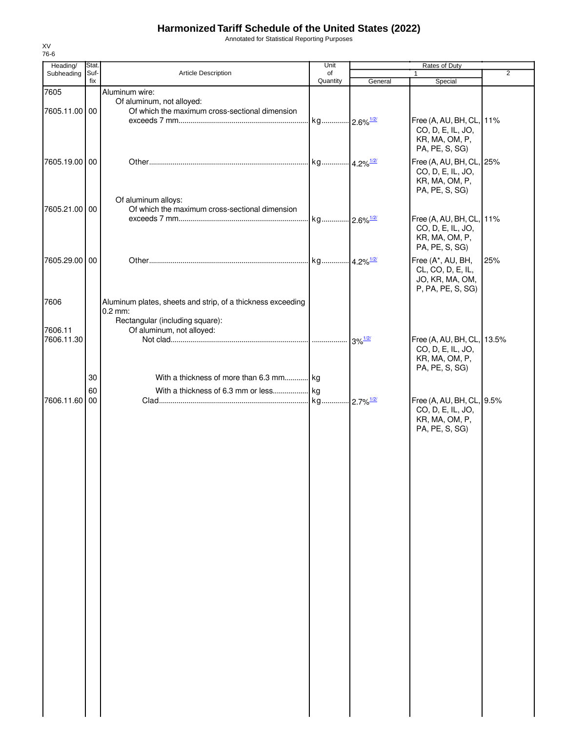Annotated for Statistical Reporting Purposes

| Heading/              | Stat.       |                                                                                                             | Unit           |                                             | Rates of Duty                                                                       |                |
|-----------------------|-------------|-------------------------------------------------------------------------------------------------------------|----------------|---------------------------------------------|-------------------------------------------------------------------------------------|----------------|
| Subheading            | Suf-<br>fix | Article Description                                                                                         | of<br>Quantity | General                                     | $\mathbf{1}$<br>Special                                                             | $\overline{2}$ |
| 7605<br>7605.11.00 00 |             | Aluminum wire:<br>Of aluminum, not alloyed:<br>Of which the maximum cross-sectional dimension               |                |                                             |                                                                                     |                |
|                       |             |                                                                                                             |                |                                             | Free (A, AU, BH, CL, 11%<br>CO, D, E, IL, JO,<br>KR, MA, OM, P,<br>PA, PE, S, SG)   |                |
| 7605.19.00 00         |             |                                                                                                             |                |                                             | Free (A, AU, BH, CL, 25%<br>CO, D, E, IL, JO,<br>KR, MA, OM, P,<br>PA, PE, S, SG)   |                |
| 7605.21.00 00         |             | Of aluminum alloys:<br>Of which the maximum cross-sectional dimension                                       |                |                                             | Free (A, AU, BH, CL, 11%<br>CO, D, E, IL, JO,<br>KR, MA, OM, P,<br>PA, PE, S, SG)   |                |
| 7605.29.00 00         |             |                                                                                                             |                |                                             | Free (A*, AU, BH,<br>CL, CO, D, E, IL,<br>JO, KR, MA, OM,<br>P, PA, PE, S, SG)      | 25%            |
| 7606                  |             | Aluminum plates, sheets and strip, of a thickness exceeding<br>$0.2$ mm:<br>Rectangular (including square): |                |                                             |                                                                                     |                |
| 7606.11<br>7606.11.30 |             | Of aluminum, not alloyed:                                                                                   |                | $3\%$ <sup><math>\frac{1/2}{2}</math></sup> | Free (A, AU, BH, CL, 13.5%<br>CO, D, E, IL, JO,<br>KR, MA, OM, P,<br>PA, PE, S, SG) |                |
|                       | 30<br>60    | With a thickness of more than 6.3 mm kg                                                                     |                |                                             |                                                                                     |                |
| 7606.11.60 00         |             |                                                                                                             |                |                                             | Free (A, AU, BH, CL, 9.5%<br>CO, D, E, IL, JO,<br>KR, MA, OM, P,<br>PA, PE, S, SG)  |                |
|                       |             |                                                                                                             |                |                                             |                                                                                     |                |
|                       |             |                                                                                                             |                |                                             |                                                                                     |                |
|                       |             |                                                                                                             |                |                                             |                                                                                     |                |
|                       |             |                                                                                                             |                |                                             |                                                                                     |                |
|                       |             |                                                                                                             |                |                                             |                                                                                     |                |
|                       |             |                                                                                                             |                |                                             |                                                                                     |                |
|                       |             |                                                                                                             |                |                                             |                                                                                     |                |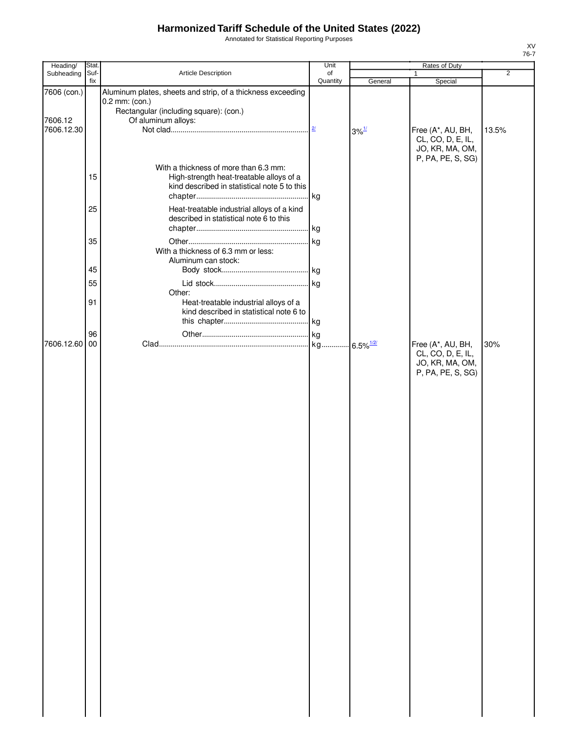Annotated for Statistical Reporting Purposes

| Heading/              | Stat.       |                                                                                                                                   | Unit           |                                  | Rates of Duty                                                                  |                |
|-----------------------|-------------|-----------------------------------------------------------------------------------------------------------------------------------|----------------|----------------------------------|--------------------------------------------------------------------------------|----------------|
| Subheading            | Suf-<br>fix | Article Description                                                                                                               | of<br>Quantity |                                  | $\mathbf{1}$                                                                   | $\overline{2}$ |
| 7606 (con.)           |             | Aluminum plates, sheets and strip, of a thickness exceeding<br>0.2 mm: (con.)<br>Rectangular (including square): (con.)           |                | General                          | Special                                                                        |                |
| 7606.12<br>7606.12.30 |             | Of aluminum alloys:                                                                                                               | 2/             | $3\%$ <sup><math>1/</math></sup> | Free (A*, AU, BH,<br>CL, CO, D, E, IL,<br>JO, KR, MA, OM,<br>P, PA, PE, S, SG) | 13.5%          |
|                       | 15          | With a thickness of more than 6.3 mm:<br>High-strength heat-treatable alloys of a<br>kind described in statistical note 5 to this | . kg           |                                  |                                                                                |                |
|                       | 25          | Heat-treatable industrial alloys of a kind<br>described in statistical note 6 to this                                             |                |                                  |                                                                                |                |
|                       | 35          | With a thickness of 6.3 mm or less:<br>Aluminum can stock:                                                                        | kg             |                                  |                                                                                |                |
|                       | 45          |                                                                                                                                   |                |                                  |                                                                                |                |
|                       |             |                                                                                                                                   |                |                                  |                                                                                |                |
|                       | 55          |                                                                                                                                   |                |                                  |                                                                                |                |
|                       | 91          | Other:<br>Heat-treatable industrial alloys of a<br>kind described in statistical note 6 to                                        |                |                                  |                                                                                |                |
|                       | 96          |                                                                                                                                   | kg             |                                  |                                                                                |                |
| 7606.12.60            | 00          |                                                                                                                                   | kg             | $-6.5\%$ <sup>1/2/</sup>         | Free (A*, AU, BH,                                                              | 30%            |
|                       |             |                                                                                                                                   |                |                                  | CL, CO, D, E, IL,<br>JO, KR, MA, OM,<br>P, PA, PE, S, SG)                      |                |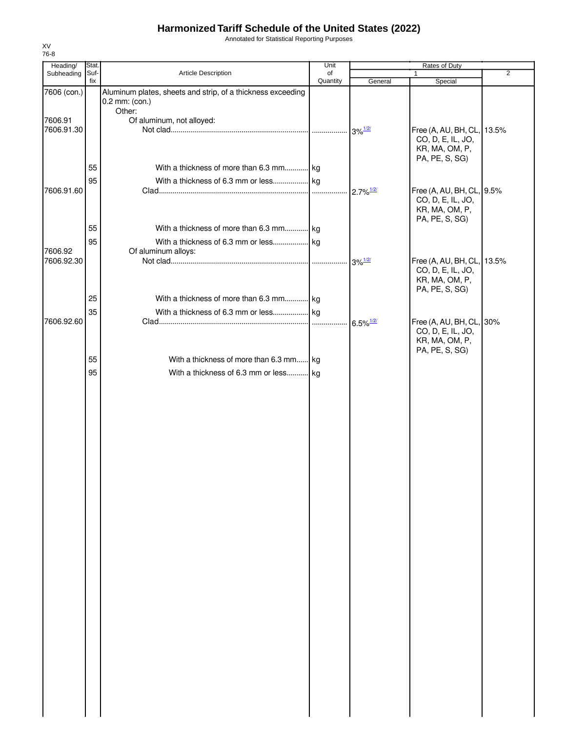Annotated for Statistical Reporting Purposes

| Heading/              | Stat. |                                                                               | Unit     |                                           | Rates of Duty                                                   |                |
|-----------------------|-------|-------------------------------------------------------------------------------|----------|-------------------------------------------|-----------------------------------------------------------------|----------------|
| Subheading            | Suf-  | Article Description                                                           | of       |                                           | $\mathbf{1}$                                                    | $\overline{2}$ |
| 7606 (con.)           | fix   | Aluminum plates, sheets and strip, of a thickness exceeding<br>0.2 mm: (con.) | Quantity | General                                   | Special                                                         |                |
|                       |       | Other:                                                                        |          |                                           |                                                                 |                |
| 7606.91               |       | Of aluminum, not alloyed:                                                     |          |                                           |                                                                 |                |
| 7606.91.30            |       |                                                                               |          |                                           | Free (A, AU, BH, CL, 13.5%                                      |                |
|                       |       |                                                                               |          |                                           | CO, D, E, IL, JO,<br>KR, MA, OM, P,                             |                |
|                       | 55    | With a thickness of more than 6.3 mm kg                                       |          |                                           | PA, PE, S, SG)                                                  |                |
|                       | 95    |                                                                               |          |                                           |                                                                 |                |
| 7606.91.60            |       |                                                                               |          | $2.7\%$ <sup>1/2/</sup>                   | Free (A, AU, BH, CL, 9.5%                                       |                |
|                       |       |                                                                               |          |                                           | CO, D, E, IL, JO,<br>KR, MA, OM, P,<br>PA, PE, S, SG)           |                |
|                       | 55    | With a thickness of more than 6.3 mm kg                                       |          |                                           |                                                                 |                |
|                       | 95    |                                                                               |          |                                           |                                                                 |                |
| 7606.92<br>7606.92.30 |       | Of aluminum alloys:                                                           |          | $3\%$ <sup><math>\frac{1}{2}</math></sup> | Free (A, AU, BH, CL, 13.5%                                      |                |
|                       |       |                                                                               |          |                                           | CO, D, E, IL, JO,<br>KR, MA, OM, P,                             |                |
|                       |       |                                                                               |          |                                           | PA, PE, S, SG)                                                  |                |
|                       | 25    | With a thickness of more than 6.3 mm kg                                       |          |                                           |                                                                 |                |
|                       | 35    |                                                                               |          |                                           |                                                                 |                |
| 7606.92.60            |       |                                                                               |          | $6.5\%$ <sup><math>1/2/</math></sup>      | Free (A, AU, BH, CL, 30%<br>CO, D, E, IL, JO,<br>KR, MA, OM, P, |                |
|                       | 55    | With a thickness of more than 6.3 mm kg                                       |          |                                           | PA, PE, S, SG)                                                  |                |
|                       |       |                                                                               |          |                                           |                                                                 |                |
|                       | 95    | With a thickness of 6.3 mm or less kg                                         |          |                                           |                                                                 |                |
|                       |       |                                                                               |          |                                           |                                                                 |                |
|                       |       |                                                                               |          |                                           |                                                                 |                |
|                       |       |                                                                               |          |                                           |                                                                 |                |
|                       |       |                                                                               |          |                                           |                                                                 |                |
|                       |       |                                                                               |          |                                           |                                                                 |                |
|                       |       |                                                                               |          |                                           |                                                                 |                |
|                       |       |                                                                               |          |                                           |                                                                 |                |
|                       |       |                                                                               |          |                                           |                                                                 |                |
|                       |       |                                                                               |          |                                           |                                                                 |                |
|                       |       |                                                                               |          |                                           |                                                                 |                |
|                       |       |                                                                               |          |                                           |                                                                 |                |
|                       |       |                                                                               |          |                                           |                                                                 |                |
|                       |       |                                                                               |          |                                           |                                                                 |                |
|                       |       |                                                                               |          |                                           |                                                                 |                |
|                       |       |                                                                               |          |                                           |                                                                 |                |
|                       |       |                                                                               |          |                                           |                                                                 |                |
|                       |       |                                                                               |          |                                           |                                                                 |                |
|                       |       |                                                                               |          |                                           |                                                                 |                |
|                       |       |                                                                               |          |                                           |                                                                 |                |
|                       |       |                                                                               |          |                                           |                                                                 |                |
|                       |       |                                                                               |          |                                           |                                                                 |                |
|                       |       |                                                                               |          |                                           |                                                                 |                |
|                       |       |                                                                               |          |                                           |                                                                 |                |
|                       |       |                                                                               |          |                                           |                                                                 |                |
|                       |       |                                                                               |          |                                           |                                                                 |                |
|                       |       |                                                                               |          |                                           |                                                                 |                |
|                       |       |                                                                               |          |                                           |                                                                 |                |
|                       |       |                                                                               |          |                                           |                                                                 |                |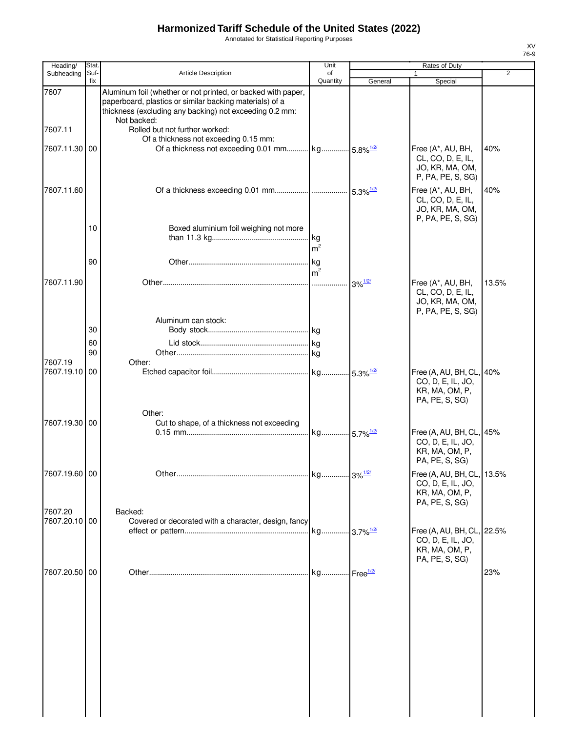Annotated for Statistical Reporting Purposes

| Heading/                 | <b>Stat</b> |                                                                                                                                                                                                   | Unit                    |                                    | Rates of Duty                                                                       |                |
|--------------------------|-------------|---------------------------------------------------------------------------------------------------------------------------------------------------------------------------------------------------|-------------------------|------------------------------------|-------------------------------------------------------------------------------------|----------------|
| Subheading               | Suf-<br>fix | <b>Article Description</b>                                                                                                                                                                        | of<br>Quantity          | General                            | Special                                                                             | $\overline{2}$ |
| 7607                     |             | Aluminum foil (whether or not printed, or backed with paper,<br>paperboard, plastics or similar backing materials) of a<br>thickness (excluding any backing) not exceeding 0.2 mm:<br>Not backed: |                         |                                    |                                                                                     |                |
| 7607.11                  |             | Rolled but not further worked:<br>Of a thickness not exceeding 0.15 mm:                                                                                                                           |                         |                                    |                                                                                     |                |
| 7607.11.30 00            |             |                                                                                                                                                                                                   |                         |                                    | Free (A*, AU, BH,<br>CL, CO, D, E, IL,<br>JO, KR, MA, OM,<br>P, PA, PE, S, SG)      | 40%            |
| 7607.11.60               |             |                                                                                                                                                                                                   |                         |                                    | Free (A*, AU, BH,<br>CL, CO, D, E, IL,<br>JO, KR, MA, OM,<br>P, PA, PE, S, SG)      | 40%            |
|                          | 10          | Boxed aluminium foil weighing not more                                                                                                                                                            | kg<br>m <sup>2</sup>    |                                    |                                                                                     |                |
|                          | 90          |                                                                                                                                                                                                   | kg<br>m <sup>2</sup>    |                                    |                                                                                     |                |
| 7607.11.90               |             |                                                                                                                                                                                                   | .                       | $3\%$ <sup><math>1/2/</math></sup> | Free (A*, AU, BH,<br>CL, CO, D, E, IL,<br>JO, KR, MA, OM,<br>P, PA, PE, S, SG)      | 13.5%          |
|                          | 30          | Aluminum can stock:                                                                                                                                                                               |                         |                                    |                                                                                     |                |
|                          | 60          |                                                                                                                                                                                                   |                         |                                    |                                                                                     |                |
|                          | 90          |                                                                                                                                                                                                   |                         |                                    |                                                                                     |                |
| 7607.19<br>7607.19.10    | 00          | Other:                                                                                                                                                                                            | kg 5.3% <sup>1/2/</sup> |                                    | Free (A, AU, BH, CL, 40%<br>CO, D, E, IL, JO,<br>KR, MA, OM, P,                     |                |
| 7607.19.30 00            |             | Other:<br>Cut to shape, of a thickness not exceeding                                                                                                                                              |                         |                                    | PA, PE, S, SG)                                                                      |                |
|                          |             |                                                                                                                                                                                                   | kg 5.7% <sup>1/2/</sup> |                                    | Free (A, AU, BH, CL, 45%<br>CO, D, E, IL, JO,<br>KR, MA, OM, P,<br>PA, PE, S, SG)   |                |
| 7607.19.60 00            |             |                                                                                                                                                                                                   |                         |                                    | Free (A, AU, BH, CL, 13.5%<br>CO, D, E, IL, JO,<br>KR, MA, OM, P,<br>PA, PE, S, SG) |                |
| 7607.20<br>7607.20.10 00 |             | Backed:<br>Covered or decorated with a character, design, fancy                                                                                                                                   |                         |                                    |                                                                                     |                |
|                          |             |                                                                                                                                                                                                   |                         |                                    | Free (A, AU, BH, CL, 22.5%<br>CO, D, E, IL, JO,<br>KR, MA, OM, P,<br>PA, PE, S, SG) |                |
| 7607.20.50 00            |             |                                                                                                                                                                                                   | kg Free <sup>1/2/</sup> |                                    |                                                                                     | 23%            |
|                          |             |                                                                                                                                                                                                   |                         |                                    |                                                                                     |                |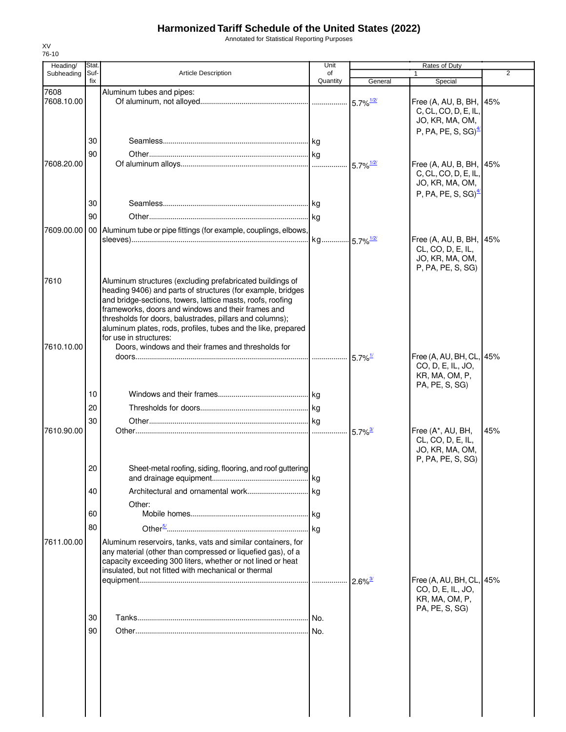Annotated for Statistical Reporting Purposes

| Heading/   | Stat.       |                                                                                                                                                                                                                                                                                                                                                                                                     | Unit           |                         | Rates of Duty                                                                                         |                |
|------------|-------------|-----------------------------------------------------------------------------------------------------------------------------------------------------------------------------------------------------------------------------------------------------------------------------------------------------------------------------------------------------------------------------------------------------|----------------|-------------------------|-------------------------------------------------------------------------------------------------------|----------------|
| Subheading | Suf-<br>fix | Article Description                                                                                                                                                                                                                                                                                                                                                                                 | of<br>Quantity | General                 | $\mathbf{1}$<br>Special                                                                               | $\overline{2}$ |
| 7608       |             | Aluminum tubes and pipes:                                                                                                                                                                                                                                                                                                                                                                           |                |                         |                                                                                                       |                |
| 7608.10.00 |             |                                                                                                                                                                                                                                                                                                                                                                                                     |                |                         | Free (A, AU, B, BH, 45%<br>C, CL, CO, D, E, IL,<br>JO, KR, MA, OM,<br>P, PA, PE, S, SG) $\frac{4}{3}$ |                |
|            | 30          |                                                                                                                                                                                                                                                                                                                                                                                                     |                |                         |                                                                                                       |                |
|            | 90          |                                                                                                                                                                                                                                                                                                                                                                                                     |                |                         |                                                                                                       |                |
| 7608.20.00 |             |                                                                                                                                                                                                                                                                                                                                                                                                     |                | $5.7\%$ <sup>1/2/</sup> | Free (A, AU, B, BH, 45%<br>C, CL, CO, D, E, IL,<br>JO, KR, MA, OM,<br>P, PA, PE, S, SG) $\frac{4}{2}$ |                |
|            | 30          |                                                                                                                                                                                                                                                                                                                                                                                                     |                |                         |                                                                                                       |                |
|            | 90          |                                                                                                                                                                                                                                                                                                                                                                                                     |                |                         |                                                                                                       |                |
|            |             | 7609.00.00   00   Aluminum tube or pipe fittings (for example, couplings, elbows,                                                                                                                                                                                                                                                                                                                   |                |                         | Free (A, AU, B, BH, 145%<br>CL, CO, D, E, IL,<br>JO, KR, MA, OM,<br>P, PA, PE, S, SG)                 |                |
| 7610       |             | Aluminum structures (excluding prefabricated buildings of<br>heading 9406) and parts of structures (for example, bridges<br>and bridge-sections, towers, lattice masts, roofs, roofing<br>frameworks, doors and windows and their frames and<br>thresholds for doors, balustrades, pillars and columns);<br>aluminum plates, rods, profiles, tubes and the like, prepared<br>for use in structures: |                |                         |                                                                                                       |                |
| 7610.10.00 |             | Doors, windows and their frames and thresholds for                                                                                                                                                                                                                                                                                                                                                  |                |                         |                                                                                                       |                |
|            |             |                                                                                                                                                                                                                                                                                                                                                                                                     |                | $5.7\%$ <sup>1/</sup>   | Free (A, AU, BH, CL, 45%<br>CO, D, E, IL, JO,<br>KR, MA, OM, P,<br>PA, PE, S, SG)                     |                |
|            | 10          |                                                                                                                                                                                                                                                                                                                                                                                                     |                |                         |                                                                                                       |                |
|            | 20          |                                                                                                                                                                                                                                                                                                                                                                                                     |                |                         |                                                                                                       |                |
|            | 30          |                                                                                                                                                                                                                                                                                                                                                                                                     |                |                         |                                                                                                       |                |
| 7610.90.00 |             |                                                                                                                                                                                                                                                                                                                                                                                                     |                | $5.7\%$ <sup>3/</sup>   | Free (A*, AU, BH,<br>CL, CO, D, E, IL,<br>JO, KR, MA, OM,<br>P, PA, PE, S, SG)                        | 45%            |
|            | 20          | Sheet-metal roofing, siding, flooring, and roof guttering                                                                                                                                                                                                                                                                                                                                           |                |                         |                                                                                                       |                |
|            | 40          |                                                                                                                                                                                                                                                                                                                                                                                                     |                |                         |                                                                                                       |                |
|            |             | Other:                                                                                                                                                                                                                                                                                                                                                                                              |                |                         |                                                                                                       |                |
|            | 60          |                                                                                                                                                                                                                                                                                                                                                                                                     |                |                         |                                                                                                       |                |
| 7611.00.00 | 80          | Aluminum reservoirs, tanks, vats and similar containers, for                                                                                                                                                                                                                                                                                                                                        |                |                         |                                                                                                       |                |
|            |             | any material (other than compressed or liquefied gas), of a<br>capacity exceeding 300 liters, whether or not lined or heat<br>insulated, but not fitted with mechanical or thermal                                                                                                                                                                                                                  |                |                         | Free (A, AU, BH, CL, 45%                                                                              |                |
|            |             |                                                                                                                                                                                                                                                                                                                                                                                                     |                |                         | CO, D, E, IL, JO,<br>KR, MA, OM, P,                                                                   |                |
|            | 30          |                                                                                                                                                                                                                                                                                                                                                                                                     |                |                         | PA, PE, S, SG)                                                                                        |                |
|            | 90          |                                                                                                                                                                                                                                                                                                                                                                                                     |                |                         |                                                                                                       |                |
|            |             |                                                                                                                                                                                                                                                                                                                                                                                                     |                |                         |                                                                                                       |                |
|            |             |                                                                                                                                                                                                                                                                                                                                                                                                     |                |                         |                                                                                                       |                |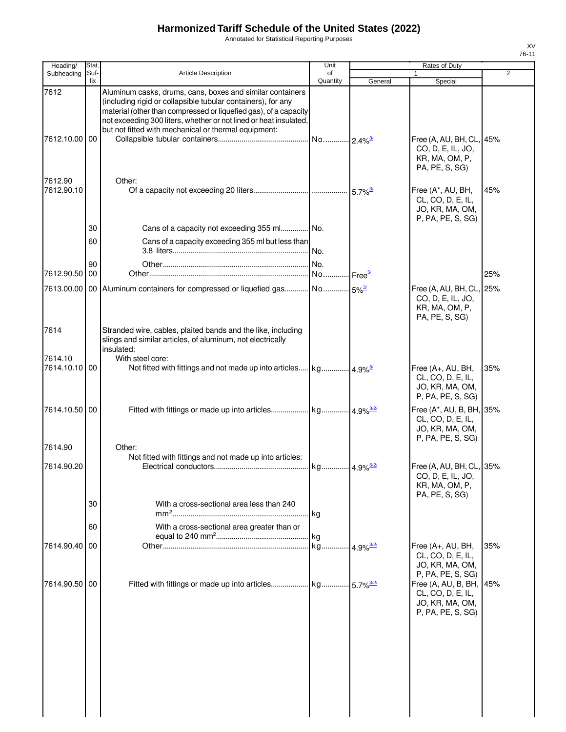Annotated for Statistical Reporting Purposes

| Heading/                 | Stat.       |                                                                                                                                                                                                                                                                                                                           | Unit           |                         | Rates of Duty                                                                         |                |
|--------------------------|-------------|---------------------------------------------------------------------------------------------------------------------------------------------------------------------------------------------------------------------------------------------------------------------------------------------------------------------------|----------------|-------------------------|---------------------------------------------------------------------------------------|----------------|
| Subheading               | Suf-<br>fix | <b>Article Description</b>                                                                                                                                                                                                                                                                                                | of<br>Quantity | General                 | Special                                                                               | $\overline{2}$ |
| 7612<br>7612.10.00       | 00          | Aluminum casks, drums, cans, boxes and similar containers<br>(including rigid or collapsible tubular containers), for any<br>material (other than compressed or liquefied gas), of a capacity<br>not exceeding 300 liters, whether or not lined or heat insulated<br>but not fitted with mechanical or thermal equipment: |                |                         | Free (A, AU, BH, CL, 45%<br>CO, D, E, IL, JO,<br>KR, MA, OM, P,<br>PA, PE, S, SG)     |                |
| 7612.90<br>7612.90.10    | 30          | Other:<br>Cans of a capacity not exceeding 355 ml No.                                                                                                                                                                                                                                                                     |                |                         | Free (A*, AU, BH,<br>CL, CO, D, E, IL,<br>JO, KR, MA, OM,<br>P, PA, PE, S, SG)        | 45%            |
|                          | 60<br>90    | Cans of a capacity exceeding 355 ml but less than                                                                                                                                                                                                                                                                         | No.            |                         |                                                                                       |                |
| 7612.90.50               | 00          |                                                                                                                                                                                                                                                                                                                           |                |                         |                                                                                       | 25%            |
| 7613.00.00               |             |                                                                                                                                                                                                                                                                                                                           |                |                         | Free (A, AU, BH, CL, 25%<br>CO, D, E, IL, JO,<br>KR, MA, OM, P,<br>PA, PE, S, SG)     |                |
| 7614                     |             | Stranded wire, cables, plaited bands and the like, including<br>slings and similar articles, of aluminum, not electrically<br>insulated:                                                                                                                                                                                  |                |                         |                                                                                       |                |
| 7614.10<br>7614.10.10 00 |             | With steel core:                                                                                                                                                                                                                                                                                                          |                |                         | Free (A+, AU, BH,<br>CL, CO, D, E, IL,<br>JO, KR, MA, OM,<br>P, PA, PE, S, SG)        | 35%            |
| 7614.10.50 00            |             |                                                                                                                                                                                                                                                                                                                           |                |                         | Free (A*, AU, B, BH, 35%<br>CL, CO, D, E, IL,<br>JO, KR, MA, OM,<br>P, PA, PE, S, SG) |                |
| 7614.90                  |             | Other:<br>Not fitted with fittings and not made up into articles:                                                                                                                                                                                                                                                         |                |                         |                                                                                       |                |
| 7614.90.20               |             |                                                                                                                                                                                                                                                                                                                           |                |                         | Free (A, AU, BH, CL, 35%<br>CO, D, E, IL, JO,<br>KR, MA, OM, P,<br>PA, PE, S, SG)     |                |
|                          | 30<br>60    | With a cross-sectional area less than 240<br>With a cross-sectional area greater than or                                                                                                                                                                                                                                  | kg             |                         |                                                                                       |                |
|                          |             |                                                                                                                                                                                                                                                                                                                           |                |                         |                                                                                       |                |
| 7614.90.40 00            |             |                                                                                                                                                                                                                                                                                                                           | kg             | $4.9\%$ <sup>3/2/</sup> | Free $(A+, AU, BH,$<br>CL, CO, D, E, IL,<br>JO, KR, MA, OM,<br>P, PA, PE, S, SG)      | 35%            |
| 7614.90.50 00            |             |                                                                                                                                                                                                                                                                                                                           |                |                         | Free (A, AU, B, BH, 45%<br>CL, CO, D, E, IL,<br>JO, KR, MA, OM,<br>P, PA, PE, S, SG)  |                |
|                          |             |                                                                                                                                                                                                                                                                                                                           |                |                         |                                                                                       |                |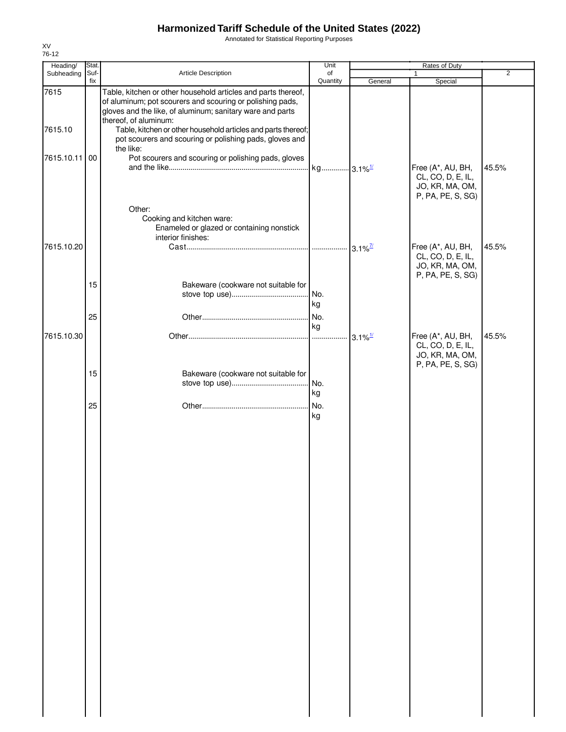Annotated for Statistical Reporting Purposes

| Heading/        | Stat.       |                                                                                                                                                                                                                                                                                                                                              | Unit           |                       | Rates of Duty                                                                  |                |
|-----------------|-------------|----------------------------------------------------------------------------------------------------------------------------------------------------------------------------------------------------------------------------------------------------------------------------------------------------------------------------------------------|----------------|-----------------------|--------------------------------------------------------------------------------|----------------|
| Subheading      | Suf-<br>fix | Article Description                                                                                                                                                                                                                                                                                                                          | of<br>Quantity | General               | $\mathbf{1}$<br>Special                                                        | $\overline{2}$ |
| 7615<br>7615.10 |             | Table, kitchen or other household articles and parts thereof,<br>of aluminum; pot scourers and scouring or polishing pads,<br>gloves and the like, of aluminum; sanitary ware and parts<br>thereof, of aluminum:<br>Table, kitchen or other household articles and parts thereof;<br>pot scourers and scouring or polishing pads, gloves and |                |                       |                                                                                |                |
| 7615.10.11      | 00          | the like:<br>Pot scourers and scouring or polishing pads, gloves                                                                                                                                                                                                                                                                             |                |                       |                                                                                |                |
|                 |             |                                                                                                                                                                                                                                                                                                                                              |                |                       | Free (A*, AU, BH,<br>CL, CO, D, E, IL,<br>JO, KR, MA, OM,<br>P, PA, PE, S, SG) | 45.5%          |
|                 |             | Other:<br>Cooking and kitchen ware:<br>Enameled or glazed or containing nonstick<br>interior finishes:                                                                                                                                                                                                                                       |                |                       |                                                                                |                |
| 7615.10.20      | 15          | Bakeware (cookware not suitable for                                                                                                                                                                                                                                                                                                          |                | $3.1\%$ <sup>7/</sup> | Free (A*, AU, BH,<br>CL, CO, D, E, IL,<br>JO, KR, MA, OM,<br>P, PA, PE, S, SG) | 45.5%          |
|                 |             |                                                                                                                                                                                                                                                                                                                                              | No.<br>kg      |                       |                                                                                |                |
|                 | 25          |                                                                                                                                                                                                                                                                                                                                              | kg             |                       |                                                                                |                |
| 7615.10.30      |             |                                                                                                                                                                                                                                                                                                                                              |                | $3.1\%$ <sup>1/</sup> | Free (A*, AU, BH,<br>CL, CO, D, E, IL,<br>JO, KR, MA, OM,<br>P, PA, PE, S, SG) | 45.5%          |
|                 | 15          | Bakeware (cookware not suitable for                                                                                                                                                                                                                                                                                                          | No.<br>kg      |                       |                                                                                |                |
|                 | 25          |                                                                                                                                                                                                                                                                                                                                              | No.<br>kg      |                       |                                                                                |                |
|                 |             |                                                                                                                                                                                                                                                                                                                                              |                |                       |                                                                                |                |
|                 |             |                                                                                                                                                                                                                                                                                                                                              |                |                       |                                                                                |                |
|                 |             |                                                                                                                                                                                                                                                                                                                                              |                |                       |                                                                                |                |
|                 |             |                                                                                                                                                                                                                                                                                                                                              |                |                       |                                                                                |                |
|                 |             |                                                                                                                                                                                                                                                                                                                                              |                |                       |                                                                                |                |
|                 |             |                                                                                                                                                                                                                                                                                                                                              |                |                       |                                                                                |                |
|                 |             |                                                                                                                                                                                                                                                                                                                                              |                |                       |                                                                                |                |
|                 |             |                                                                                                                                                                                                                                                                                                                                              |                |                       |                                                                                |                |
|                 |             |                                                                                                                                                                                                                                                                                                                                              |                |                       |                                                                                |                |
|                 |             |                                                                                                                                                                                                                                                                                                                                              |                |                       |                                                                                |                |
|                 |             |                                                                                                                                                                                                                                                                                                                                              |                |                       |                                                                                |                |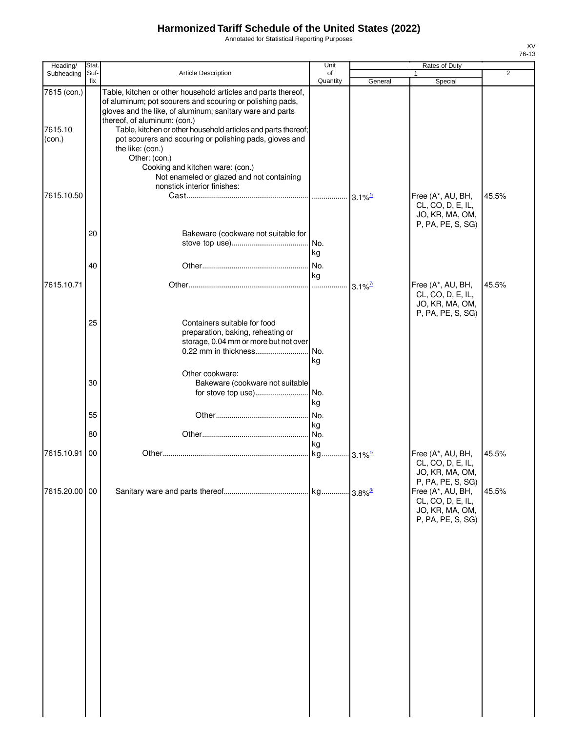Annotated for Statistical Reporting Purposes

| Heading/                         | <b>Stat</b> |                                                                                                                                                                                                                                                                                                                                                                                                                                                                                                          | Unit             |                        | Rates of Duty                                                                                       |                |
|----------------------------------|-------------|----------------------------------------------------------------------------------------------------------------------------------------------------------------------------------------------------------------------------------------------------------------------------------------------------------------------------------------------------------------------------------------------------------------------------------------------------------------------------------------------------------|------------------|------------------------|-----------------------------------------------------------------------------------------------------|----------------|
| Subheading                       | Suf-<br>fix | Article Description                                                                                                                                                                                                                                                                                                                                                                                                                                                                                      | of<br>Quantity   | General                | 1<br>Special                                                                                        | $\overline{2}$ |
| 7615 (con.)<br>7615.10<br>(con.) |             | Table, kitchen or other household articles and parts thereof,<br>of aluminum; pot scourers and scouring or polishing pads,<br>gloves and the like, of aluminum; sanitary ware and parts<br>thereof, of aluminum: (con.)<br>Table, kitchen or other household articles and parts thereof;<br>pot scourers and scouring or polishing pads, gloves and<br>the like: (con.)<br>Other: (con.)<br>Cooking and kitchen ware: (con.)<br>Not enameled or glazed and not containing<br>nonstick interior finishes: |                  |                        |                                                                                                     |                |
| 7615.10.50                       | 20          | Bakeware (cookware not suitable for                                                                                                                                                                                                                                                                                                                                                                                                                                                                      | No.              | $3.1\%$ <sup>1/</sup>  | Free (A*, AU, BH,<br>CL, CO, D, E, IL,<br>JO, KR, MA, OM,<br>P, PA, PE, S, SG)                      | 45.5%          |
|                                  | 40          |                                                                                                                                                                                                                                                                                                                                                                                                                                                                                                          | kg<br>kg         |                        |                                                                                                     |                |
| 7615.10.71                       | 25          | Containers suitable for food<br>preparation, baking, reheating or<br>storage, 0.04 mm or more but not over<br>0.22 mm in thickness                                                                                                                                                                                                                                                                                                                                                                       | .<br>No.<br>kg   | $3.1\%$ <sup>7/2</sup> | Free (A*, AU, BH,<br>CL, CO, D, E, IL,<br>JO, KR, MA, OM,<br>P, PA, PE, S, SG)                      | 45.5%          |
|                                  | 30<br>55    | Other cookware:<br>Bakeware (cookware not suitable<br>for stove top use)                                                                                                                                                                                                                                                                                                                                                                                                                                 | No.<br>kg<br>No. |                        |                                                                                                     |                |
|                                  | 80          |                                                                                                                                                                                                                                                                                                                                                                                                                                                                                                          | kg<br>No.        |                        |                                                                                                     |                |
| 7615.10.91                       | 00          |                                                                                                                                                                                                                                                                                                                                                                                                                                                                                                          | kg<br>kg         | . 3.1% <sup>1/</sup>   | Free (A*, AU, BH,<br>CL, CO, D, E, IL,<br>JO, KR, MA, OM,                                           | 45.5%          |
| 7615.20.00 00                    |             |                                                                                                                                                                                                                                                                                                                                                                                                                                                                                                          |                  |                        | P, PA, PE, S, SG)<br>Free (A*, AU, BH,<br>CL, CO, D, E, IL,<br>JO, KR, MA, OM,<br>P, PA, PE, S, SG) | 45.5%          |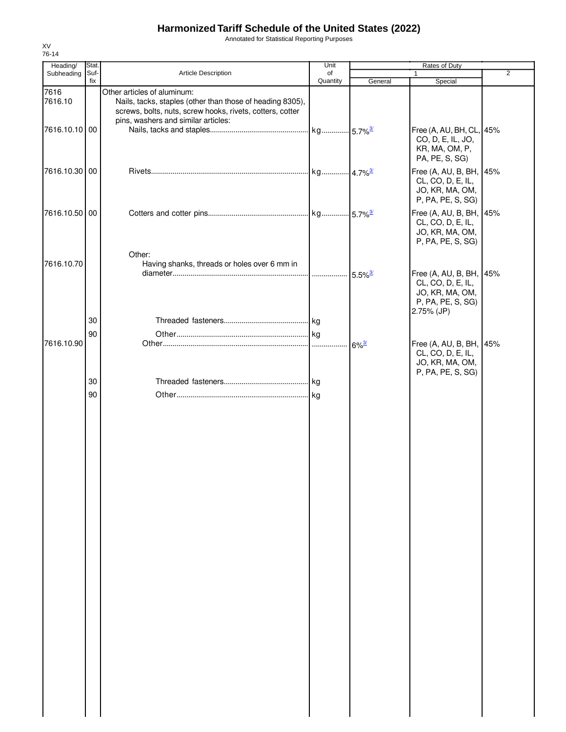Annotated for Statistical Reporting Purposes

| Heading/        | Stat.       |                                                                                                                                                       | Unit     |                     |                                                                                                    |                |
|-----------------|-------------|-------------------------------------------------------------------------------------------------------------------------------------------------------|----------|---------------------|----------------------------------------------------------------------------------------------------|----------------|
| Subheading      | Suf-<br>fix | Article Description                                                                                                                                   | of       |                     |                                                                                                    | $\overline{2}$ |
| 7616<br>7616.10 |             | Other articles of aluminum:<br>Nails, tacks, staples (other than those of heading 8305),<br>screws, bolts, nuts, screw hooks, rivets, cotters, cotter | Quantity | General             | Special                                                                                            |                |
| 7616.10.10 00   |             | pins, washers and similar articles:                                                                                                                   |          |                     | Free (A, AU, BH, CL, 45%<br>CO, D, E, IL, JO,<br>KR, MA, OM, P,<br>PA, PE, S, SG)                  |                |
| 7616.10.30 00   |             |                                                                                                                                                       |          |                     | Free (A, AU, B, BH, 45%<br>CL, CO, D, E, IL,<br>JO, KR, MA, OM,<br>P, PA, PE, S, SG)               |                |
| 7616.10.50 00   |             |                                                                                                                                                       |          |                     | Free (A, AU, B, BH, 45%<br>CL, CO, D, E, IL,<br>JO, KR, MA, OM,<br>P, PA, PE, S, SG)               |                |
| 7616.10.70      |             | Other:<br>Having shanks, threads or holes over 6 mm in                                                                                                |          |                     |                                                                                                    |                |
|                 |             |                                                                                                                                                       |          |                     | Free (A, AU, B, BH, 45%<br>CL, CO, D, E, IL,<br>JO, KR, MA, OM,<br>P, PA, PE, S, SG)<br>2.75% (JP) |                |
|                 | 30          |                                                                                                                                                       |          |                     |                                                                                                    |                |
|                 | 90          |                                                                                                                                                       |          |                     |                                                                                                    |                |
| 7616.10.90      |             |                                                                                                                                                       |          | $6\%$ <sup>3/</sup> | Free (A, AU, B, BH, 45%<br>CL, CO, D, E, IL,<br>JO, KR, MA, OM,<br>P, PA, PE, S, SG)               |                |
|                 | 30          |                                                                                                                                                       |          |                     |                                                                                                    |                |
|                 | 90          |                                                                                                                                                       |          |                     |                                                                                                    |                |
|                 |             |                                                                                                                                                       |          |                     |                                                                                                    |                |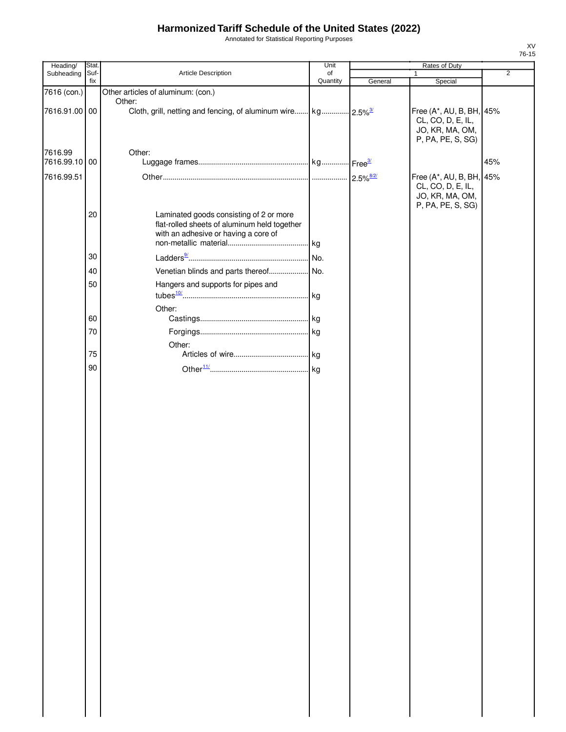Annotated for Statistical Reporting Purposes

| ۰,<br>۰. |  |  |  |  |  |  |
|----------|--|--|--|--|--|--|

| Heading/      | Stat.       |                                                                           | Unit           | Rates of Duty |                                      |                |
|---------------|-------------|---------------------------------------------------------------------------|----------------|---------------|--------------------------------------|----------------|
| Subheading    | Suf-<br>fix | Article Description                                                       | of<br>Quantity | General       |                                      | $\overline{2}$ |
| 7616 (con.)   |             |                                                                           |                |               | Special                              |                |
|               |             | Other articles of aluminum: (con.)<br>Other:                              |                |               |                                      |                |
| 7616.91.00 00 |             | Cloth, grill, netting and fencing, of aluminum wire kg 2.5% <sup>3/</sup> |                |               | Free (A*, AU, B, BH, 45%             |                |
|               |             |                                                                           |                |               | CL, CO, D, E, IL,                    |                |
|               |             |                                                                           |                |               | JO, KR, MA, OM,                      |                |
|               |             |                                                                           |                |               | P, PA, PE, S, SG)                    |                |
| 7616.99       |             | Other:                                                                    |                |               |                                      |                |
| 7616.99.10 00 |             |                                                                           |                |               |                                      | 45%            |
|               |             |                                                                           |                |               |                                      |                |
| 7616.99.51    |             |                                                                           |                |               | Free (A*, AU, B, BH, 45%             |                |
|               |             |                                                                           |                |               | CL, CO, D, E, IL,<br>JO, KR, MA, OM, |                |
|               |             |                                                                           |                |               | P, PA, PE, S, SG)                    |                |
|               | 20          | Laminated goods consisting of 2 or more                                   |                |               |                                      |                |
|               |             | flat-rolled sheets of aluminum held together                              |                |               |                                      |                |
|               |             | with an adhesive or having a core of                                      |                |               |                                      |                |
|               |             |                                                                           |                |               |                                      |                |
|               | 30          |                                                                           | No.            |               |                                      |                |
|               |             |                                                                           |                |               |                                      |                |
|               | 40          |                                                                           |                |               |                                      |                |
|               | 50          | Hangers and supports for pipes and                                        |                |               |                                      |                |
|               |             |                                                                           |                |               |                                      |                |
|               |             | Other:                                                                    |                |               |                                      |                |
|               | 60          |                                                                           |                |               |                                      |                |
|               | 70          |                                                                           |                |               |                                      |                |
|               |             |                                                                           |                |               |                                      |                |
|               |             | Other:                                                                    |                |               |                                      |                |
|               | 75          |                                                                           |                |               |                                      |                |
|               | 90          |                                                                           | kg             |               |                                      |                |
|               |             |                                                                           |                |               |                                      |                |
|               |             |                                                                           |                |               |                                      |                |
|               |             |                                                                           |                |               |                                      |                |
|               |             |                                                                           |                |               |                                      |                |
|               |             |                                                                           |                |               |                                      |                |
|               |             |                                                                           |                |               |                                      |                |
|               |             |                                                                           |                |               |                                      |                |
|               |             |                                                                           |                |               |                                      |                |
|               |             |                                                                           |                |               |                                      |                |
|               |             |                                                                           |                |               |                                      |                |
|               |             |                                                                           |                |               |                                      |                |
|               |             |                                                                           |                |               |                                      |                |
|               |             |                                                                           |                |               |                                      |                |
|               |             |                                                                           |                |               |                                      |                |
|               |             |                                                                           |                |               |                                      |                |
|               |             |                                                                           |                |               |                                      |                |
|               |             |                                                                           |                |               |                                      |                |
|               |             |                                                                           |                |               |                                      |                |
|               |             |                                                                           |                |               |                                      |                |
|               |             |                                                                           |                |               |                                      |                |
|               |             |                                                                           |                |               |                                      |                |
|               |             |                                                                           |                |               |                                      |                |
|               |             |                                                                           |                |               |                                      |                |
|               |             |                                                                           |                |               |                                      |                |
|               |             |                                                                           |                |               |                                      |                |
|               |             |                                                                           |                |               |                                      |                |
|               |             |                                                                           |                |               |                                      |                |
|               |             |                                                                           |                |               |                                      |                |
|               |             |                                                                           |                |               |                                      |                |
|               |             |                                                                           |                |               |                                      |                |
|               |             |                                                                           |                |               |                                      |                |
|               |             |                                                                           |                |               |                                      |                |
|               |             |                                                                           |                |               |                                      |                |
|               |             |                                                                           |                |               |                                      |                |